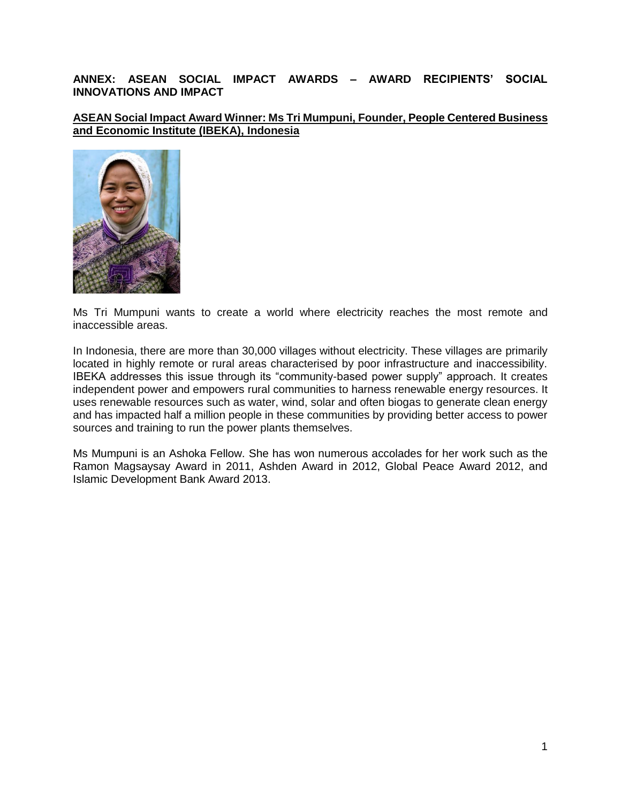## **ANNEX: ASEAN SOCIAL IMPACT AWARDS – AWARD RECIPIENTS' SOCIAL INNOVATIONS AND IMPACT**

**ASEAN Social Impact Award Winner: Ms Tri Mumpuni, Founder, People Centered Business and Economic Institute (IBEKA), Indonesia**



Ms Tri Mumpuni wants to create a world where electricity reaches the most remote and inaccessible areas.

In Indonesia, there are more than 30,000 villages without electricity. These villages are primarily located in highly remote or rural areas characterised by poor infrastructure and inaccessibility. IBEKA addresses this issue through its "community-based power supply" approach. It creates independent power and empowers rural communities to harness renewable energy resources. It uses renewable resources such as water, wind, solar and often biogas to generate clean energy and has impacted half a million people in these communities by providing better access to power sources and training to run the power plants themselves.

Ms Mumpuni is an Ashoka Fellow. She has won numerous accolades for her work such as the Ramon Magsaysay Award in 2011, Ashden Award in 2012, Global Peace Award 2012, and Islamic Development Bank Award 2013.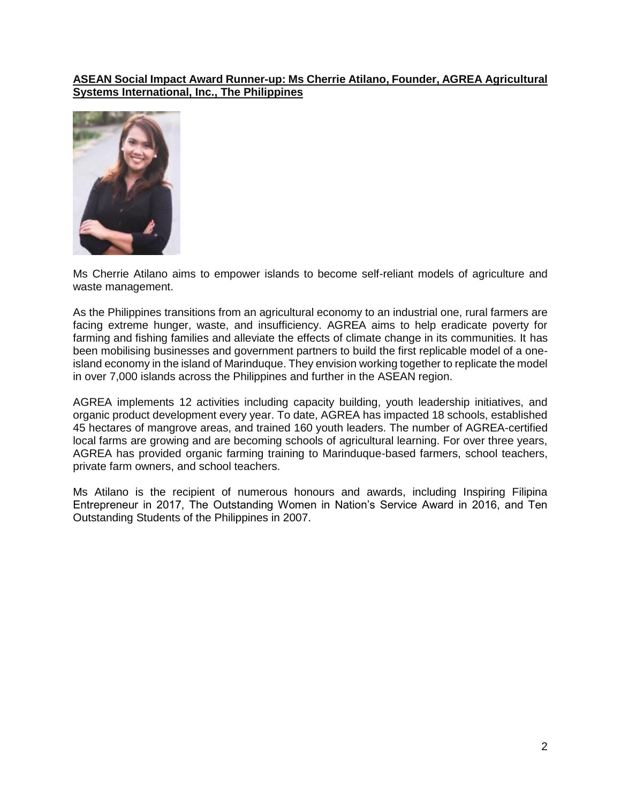## **ASEAN Social Impact Award Runner-up: Ms Cherrie Atilano, Founder, AGREA Agricultural Systems International, Inc., The Philippines**



Ms Cherrie Atilano aims to empower islands to become self-reliant models of agriculture and waste management.

As the Philippines transitions from an agricultural economy to an industrial one, rural farmers are facing extreme hunger, waste, and insufficiency. AGREA aims to help eradicate poverty for farming and fishing families and alleviate the effects of climate change in its communities. It has been mobilising businesses and government partners to build the first replicable model of a oneisland economy in the island of Marinduque. They envision working together to replicate the model in over 7,000 islands across the Philippines and further in the ASEAN region.

AGREA implements 12 activities including capacity building, youth leadership initiatives, and organic product development every year. To date, AGREA has impacted 18 schools, established 45 hectares of mangrove areas, and trained 160 youth leaders. The number of AGREA-certified local farms are growing and are becoming schools of agricultural learning. For over three years, AGREA has provided organic farming training to Marinduque-based farmers, school teachers, private farm owners, and school teachers.

Ms Atilano is the recipient of numerous honours and awards, including Inspiring Filipina Entrepreneur in 2017, The Outstanding Women in Nation's Service Award in 2016, and Ten Outstanding Students of the Philippines in 2007.